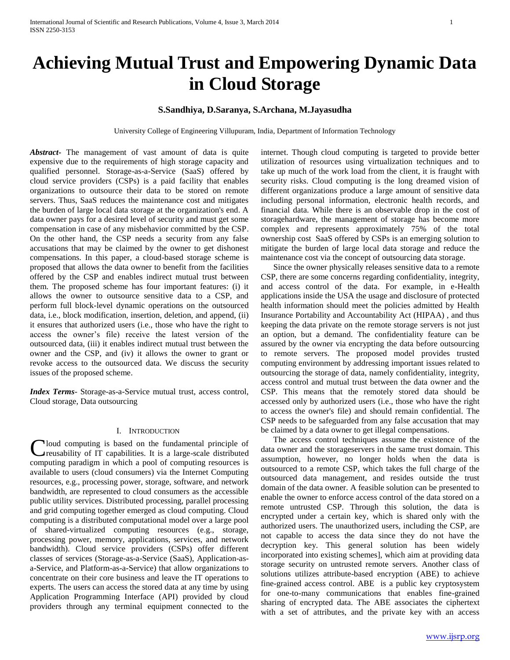# **Achieving Mutual Trust and Empowering Dynamic Data in Cloud Storage**

# **S.Sandhiya, D.Saranya, S.Archana, M.Jayasudha**

University College of Engineering Villupuram, India, Department of Information Technology

*Abstract***-** The management of vast amount of data is quite expensive due to the requirements of high storage capacity and qualified personnel. Storage-as-a-Service (SaaS) offered by cloud service providers (CSPs) is a paid facility that enables organizations to outsource their data to be stored on remote servers. Thus, SaaS reduces the maintenance cost and mitigates the burden of large local data storage at the organization's end. A data owner pays for a desired level of security and must get some compensation in case of any misbehavior committed by the CSP. On the other hand, the CSP needs a security from any false accusations that may be claimed by the owner to get dishonest compensations. In this paper, a cloud-based storage scheme is proposed that allows the data owner to benefit from the facilities offered by the CSP and enables indirect mutual trust between them. The proposed scheme has four important features: (i) it allows the owner to outsource sensitive data to a CSP, and perform full block-level dynamic operations on the outsourced data, i.e., block modification, insertion, deletion, and append, (ii) it ensures that authorized users (i.e., those who have the right to access the owner's file) receive the latest version of the outsourced data, (iii) it enables indirect mutual trust between the owner and the CSP, and (iv) it allows the owner to grant or revoke access to the outsourced data. We discuss the security issues of the proposed scheme.

*Index Terms*- Storage-as-a-Service mutual trust, access control, Cloud storage, Data outsourcing

#### I. INTRODUCTION

loud computing is based on the fundamental principle of reusability of IT capabilities. It is a large-scale distributed Cloud computing is based on the fundamental principle of reusability of IT capabilities. It is a large-scale distributed computing paradigm in which a pool of computing resources is available to users (cloud consumers) via the Internet Computing resources, e.g., processing power, storage, software, and network bandwidth, are represented to cloud consumers as the accessible public utility services. Distributed processing, parallel processing and grid computing together emerged as cloud computing. Cloud computing is a distributed computational model over a large pool of shared-virtualized computing resources (e.g., storage, processing power, memory, applications, services, and network bandwidth). Cloud service providers (CSPs) offer different classes of services (Storage-as-a-Service (SaaS), Application-asa-Service, and Platform-as-a-Service) that allow organizations to concentrate on their core business and leave the IT operations to experts. The users can access the stored data at any time by using Application Programming Interface (API) provided by cloud providers through any terminal equipment connected to the internet. Though cloud computing is targeted to provide better utilization of resources using virtualization techniques and to take up much of the work load from the client, it is fraught with security risks. Cloud computing is the long dreamed vision of different organizations produce a large amount of sensitive data including personal information, electronic health records, and financial data. While there is an observable drop in the cost of storagehardware, the management of storage has become more complex and represents approximately 75% of the total ownership cost SaaS offered by CSPs is an emerging solution to mitigate the burden of large local data storage and reduce the maintenance cost via the concept of outsourcing data storage.

 Since the owner physically releases sensitive data to a remote CSP, there are some concerns regarding confidentiality, integrity, and access control of the data. For example, in e-Health applications inside the USA the usage and disclosure of protected health information should meet the policies admitted by Health Insurance Portability and Accountability Act (HIPAA) , and thus keeping the data private on the remote storage servers is not just an option, but a demand. The confidentiality feature can be assured by the owner via encrypting the data before outsourcing to remote servers. The proposed model provides trusted computing environment by addressing important issues related to outsourcing the storage of data, namely confidentiality, integrity, access control and mutual trust between the data owner and the CSP. This means that the remotely stored data should be accessed only by authorized users (i.e., those who have the right to access the owner's file) and should remain confidential. The CSP needs to be safeguarded from any false accusation that may be claimed by a data owner to get illegal compensations.

 The access control techniques assume the existence of the data owner and the storageservers in the same trust domain. This assumption, however, no longer holds when the data is outsourced to a remote CSP, which takes the full charge of the outsourced data management, and resides outside the trust domain of the data owner. A feasible solution can be presented to enable the owner to enforce access control of the data stored on a remote untrusted CSP. Through this solution, the data is encrypted under a certain key, which is shared only with the authorized users. The unauthorized users, including the CSP, are not capable to access the data since they do not have the decryption key. This general solution has been widely incorporated into existing schemes], which aim at providing data storage security on untrusted remote servers. Another class of solutions utilizes attribute-based encryption (ABE) to achieve fine-grained access control. ABE is a public key cryptosystem for one-to-many communications that enables fine-grained sharing of encrypted data. The ABE associates the ciphertext with a set of attributes, and the private key with an access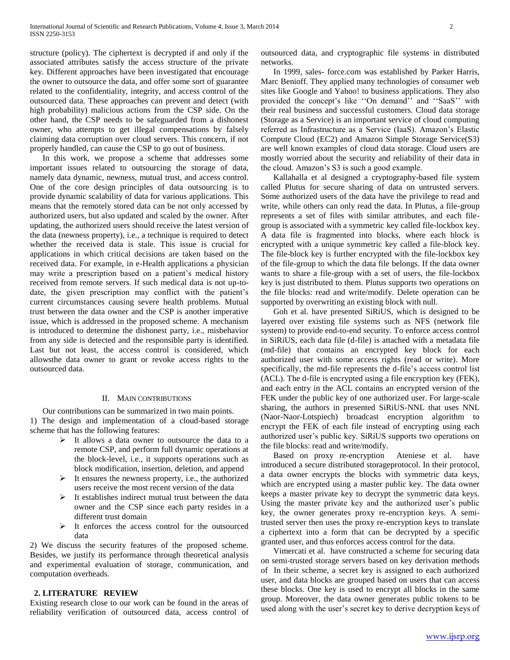structure (policy). The ciphertext is decrypted if and only if the associated attributes satisfy the access structure of the private key. Different approaches have been investigated that encourage the owner to outsource the data, and offer some sort of guarantee related to the confidentiality, integrity, and access control of the outsourced data. These approaches can prevent and detect (with high probability) malicious actions from the CSP side. On the other hand, the CSP needs to be safeguarded from a dishonest owner, who attempts to get illegal compensations by falsely claiming data corruption over cloud servers. This concern, if not properly handled, can cause the CSP to go out of business.

 In this work, we propose a scheme that addresses some important issues related to outsourcing the storage of data, namely data dynamic, newness, mutual trust, and access control. One of the core design principles of data outsourcing is to provide dynamic scalability of data for various applications. This means that the remotely stored data can be not only accessed by authorized users, but also updated and scaled by the owner. After updating, the authorized users should receive the latest version of the data (newness property), i.e., a technique is required to detect whether the received data is stale. This issue is crucial for applications in which critical decisions are taken based on the received data. For example, in e-Health applications a physician may write a prescription based on a patient's medical history received from remote servers. If such medical data is not up-todate, the given prescription may conflict with the patient's current circumstances causing severe health problems. Mutual trust between the data owner and the CSP is another imperative issue, which is addressed in the proposed scheme. A mechanism is introduced to determine the dishonest party, i.e., misbehavior from any side is detected and the responsible party is identified. Last but not least, the access control is considered, which allowsthe data owner to grant or revoke access rights to the outsourced data.

## II. MAIN CONTRIBUTIONS

Our contributions can be summarized in two main points.

1) The design and implementation of a cloud-based storage scheme that has the following features:

- $\triangleright$  It allows a data owner to outsource the data to a remote CSP, and perform full dynamic operations at the block-level, i.e., it supports operations such as block modification, insertion, deletion, and append
- $\triangleright$  It ensures the newness property, i.e., the authorized users receive the most recent version of the data
- $\triangleright$  It establishes indirect mutual trust between the data owner and the CSP since each party resides in a different trust domain
- $\triangleright$  It enforces the access control for the outsourced data

2) We discuss the security features of the proposed scheme. Besides, we justify its performance through theoretical analysis and experimental evaluation of storage, communication, and computation overheads.

#### **2. LITERATURE REVIEW**

Existing research close to our work can be found in the areas of reliability verification of outsourced data, access control of outsourced data, and cryptographic file systems in distributed networks.

 In 1999, sales- force.com was established by Parker Harris, Marc Benioff. They applied many technologies of consumer web sites like Google and Yahoo! to business applications. They also provided the concept's like ''On demand'' and ''SaaS'' with their real business and successful customers. Cloud data storage (Storage as a Service) is an important service of cloud computing referred as Infrastructure as a Service (IaaS). Amazon's Elastic Compute Cloud (EC2) and Amazon Simple Storage Service(S3) are well known examples of cloud data storage. Cloud users are mostly worried about the security and reliability of their data in the cloud. Amazon's S3 is such a good example.

 Kallahalla et al designed a cryptography-based file system called Plutus for secure sharing of data on untrusted servers. Some authorized users of the data have the privilege to read and write, while others can only read the data. In Plutus, a file-group represents a set of files with similar attributes, and each filegroup is associated with a symmetric key called file-lockbox key. A data file is fragmented into blocks, where each block is encrypted with a unique symmetric key called a file-block key. The file-block key is further encrypted with the file-lockbox key of the file-group to which the data file belongs. If the data owner wants to share a file-group with a set of users, the file-lockbox key is just distributed to them. Plutus supports two operations on the file blocks: read and write/modify. Delete operation can be supported by overwriting an existing block with null.

 Goh et al. have presented SiRiUS, which is designed to be layered over existing file systems such as NFS (network file system) to provide end-to-end security. To enforce access control in SiRiUS, each data file (d-file) is attached with a metadata file (md-file) that contains an encrypted key block for each authorized user with some access rights (read or write). More specifically, the md-file represents the d-file's access control list (ACL). The d-file is encrypted using a file encryption key (FEK), and each entry in the ACL contains an encrypted version of the FEK under the public key of one authorized user. For large-scale sharing, the authors in presented SiRiUS-NNL that uses NNL (Naor-Naor-Lotspiech) broadcast encryption algorithm to encrypt the FEK of each file instead of encrypting using each authorized user's public key. SiRiUS supports two operations on the file blocks: read and write/modify.

 Based on proxy re-encryption Ateniese et al. have introduced a secure distributed storageprotocol. In their protocol, a data owner encrypts the blocks with symmetric data keys, which are encrypted using a master public key. The data owner keeps a master private key to decrypt the symmetric data keys. Using the master private key and the authorized user's public key, the owner generates proxy re-encryption keys. A semitrusted server then uses the proxy re-encryption keys to translate a ciphertext into a form that can be decrypted by a specific granted user, and thus enforces access control for the data.

 Vimercati et al. have constructed a scheme for securing data on semi-trusted storage servers based on key derivation methods of In their scheme, a secret key is assigned to each authorized user, and data blocks are grouped based on users that can access these blocks. One key is used to encrypt all blocks in the same group. Moreover, the data owner generates public tokens to be used along with the user's secret key to derive decryption keys of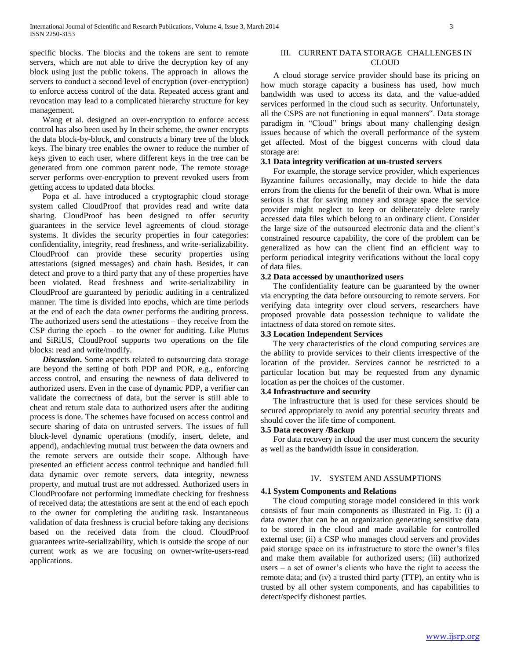specific blocks. The blocks and the tokens are sent to remote servers, which are not able to drive the decryption key of any block using just the public tokens. The approach in allows the servers to conduct a second level of encryption (over-encryption) to enforce access control of the data. Repeated access grant and revocation may lead to a complicated hierarchy structure for key management.

 Wang et al. designed an over-encryption to enforce access control has also been used by In their scheme, the owner encrypts the data block-by-block, and constructs a binary tree of the block keys. The binary tree enables the owner to reduce the number of keys given to each user, where different keys in the tree can be generated from one common parent node. The remote storage server performs over-encryption to prevent revoked users from getting access to updated data blocks.

 Popa et al. have introduced a cryptographic cloud storage system called CloudProof that provides read and write data sharing. CloudProof has been designed to offer security guarantees in the service level agreements of cloud storage systems. It divides the security properties in four categories: confidentiality, integrity, read freshness, and write-serializability. CloudProof can provide these security properties using attestations (signed messages) and chain hash. Besides, it can detect and prove to a third party that any of these properties have been violated. Read freshness and write-serializability in CloudProof are guaranteed by periodic auditing in a centralized manner. The time is divided into epochs, which are time periods at the end of each the data owner performs the auditing process. The authorized users send the attestations – they receive from the CSP during the epoch – to the owner for auditing. Like Plutus and SiRiUS, CloudProof supports two operations on the file blocks: read and write/modify.

 *Discussion***.** Some aspects related to outsourcing data storage are beyond the setting of both PDP and POR, e.g., enforcing access control, and ensuring the newness of data delivered to authorized users. Even in the case of dynamic PDP, a verifier can validate the correctness of data, but the server is still able to cheat and return stale data to authorized users after the auditing process is done. The schemes have focused on access control and secure sharing of data on untrusted servers. The issues of full block-level dynamic operations (modify, insert, delete, and append), andachieving mutual trust between the data owners and the remote servers are outside their scope. Although have presented an efficient access control technique and handled full data dynamic over remote servers, data integrity, newness property, and mutual trust are not addressed. Authorized users in CloudProofare not performing immediate checking for freshness of received data; the attestations are sent at the end of each epoch to the owner for completing the auditing task. Instantaneous validation of data freshness is crucial before taking any decisions based on the received data from the cloud. CloudProof guarantees write-serializability, which is outside the scope of our current work as we are focusing on owner-write-users-read applications.

# III. CURRENT DATA STORAGE CHALLENGES IN CLOUD

 A cloud storage service provider should base its pricing on how much storage capacity a business has used, how much bandwidth was used to access its data, and the value-added services performed in the cloud such as security. Unfortunately, all the CSPS are not functioning in equal manners". Data storage paradigm in "Cloud" brings about many challenging design issues because of which the overall performance of the system get affected. Most of the biggest concerns with cloud data storage are:

## **3.1 Data integrity verification at un-trusted servers**

 For example, the storage service provider, which experiences Byzantine failures occasionally, may decide to hide the data errors from the clients for the benefit of their own. What is more serious is that for saving money and storage space the service provider might neglect to keep or deliberately delete rarely accessed data files which belong to an ordinary client. Consider the large size of the outsourced electronic data and the client's constrained resource capability, the core of the problem can be generalized as how can the client find an efficient way to perform periodical integrity verifications without the local copy of data files.

# **3.2 Data accessed by unauthorized users**

 The confidentiality feature can be guaranteed by the owner via encrypting the data before outsourcing to remote servers. For verifying data integrity over cloud servers, researchers have proposed provable data possession technique to validate the intactness of data stored on remote sites.

#### **3.3 Location Independent Services**

 The very characteristics of the cloud computing services are the ability to provide services to their clients irrespective of the location of the provider. Services cannot be restricted to a particular location but may be requested from any dynamic location as per the choices of the customer.

#### **3.4 Infrastructure and security**

 The infrastructure that is used for these services should be secured appropriately to avoid any potential security threats and should cover the life time of component.

# **3.5 Data recovery /Backup**

 For data recovery in cloud the user must concern the security as well as the bandwidth issue in consideration.

# IV. SYSTEM AND ASSUMPTIONS

# **4.1 System Components and Relations**

 The cloud computing storage model considered in this work consists of four main components as illustrated in Fig. 1: (i) a data owner that can be an organization generating sensitive data to be stored in the cloud and made available for controlled external use; (ii) a CSP who manages cloud servers and provides paid storage space on its infrastructure to store the owner's files and make them available for authorized users; (iii) authorized users – a set of owner's clients who have the right to access the remote data; and (iv) a trusted third party (TTP), an entity who is trusted by all other system components, and has capabilities to detect/specify dishonest parties.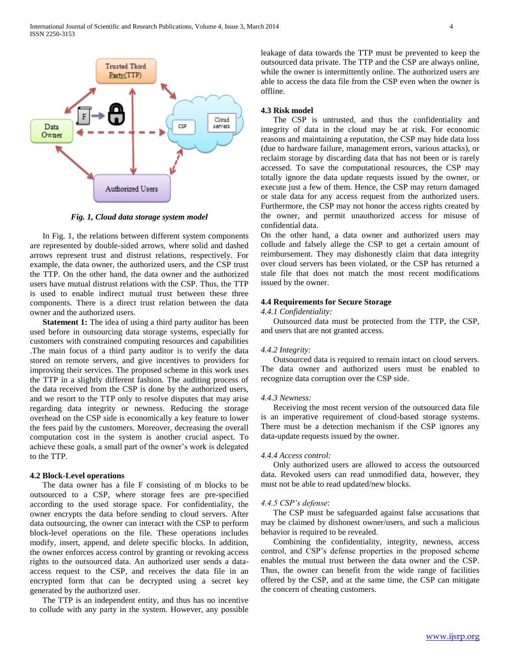

*Fig. 1, Cloud data storage system model*

 In Fig. 1, the relations between different system components are represented by double-sided arrows, where solid and dashed arrows represent trust and distrust relations, respectively. For example, the data owner, the authorized users, and the CSP trust the TTP. On the other hand, the data owner and the authorized users have mutual distrust relations with the CSP. Thus, the TTP is used to enable indirect mutual trust between these three components. There is a direct trust relation between the data owner and the authorized users.

**Statement 1:** The idea of using a third party auditor has been used before in outsourcing data storage systems, especially for customers with constrained computing resources and capabilities .The main focus of a third party auditor is to verify the data stored on remote servers, and give incentives to providers for improving their services. The proposed scheme in this work uses the TTP in a slightly different fashion. The auditing process of the data received from the CSP is done by the authorized users, and we resort to the TTP only to resolve disputes that may arise regarding data integrity or newness. Reducing the storage overhead on the CSP side is economically a key feature to lower the fees paid by the customers. Moreover, decreasing the overall computation cost in the system is another crucial aspect. To achieve these goals, a small part of the owner's work is delegated to the TTP.

#### **4.2 Block-Level operations**

 The data owner has a file F consisting of m blocks to be outsourced to a CSP, where storage fees are pre-specified according to the used storage space. For confidentiality, the owner encrypts the data before sending to cloud servers. After data outsourcing, the owner can interact with the CSP to perform block-level operations on the file. These operations includes modify, insert, append, and delete specific blocks. In addition, the owner enforces access control by granting or revoking access rights to the outsourced data. An authorized user sends a dataaccess request to the CSP, and receives the data file in an encrypted form that can be decrypted using a secret key generated by the authorized user.

 The TTP is an independent entity, and thus has no incentive to collude with any party in the system. However, any possible leakage of data towards the TTP must be prevented to keep the outsourced data private. The TTP and the CSP are always online, while the owner is intermittently online. The authorized users are able to access the data file from the CSP even when the owner is offline.

# **4.3 Risk model**

 The CSP is untrusted, and thus the confidentiality and integrity of data in the cloud may be at risk. For economic reasons and maintaining a reputation, the CSP may hide data loss (due to hardware failure, management errors, various attacks), or reclaim storage by discarding data that has not been or is rarely accessed. To save the computational resources, the CSP may totally ignore the data update requests issued by the owner, or execute just a few of them. Hence, the CSP may return damaged or stale data for any access request from the authorized users. Furthermore, the CSP may not honor the access rights created by the owner, and permit unauthorized access for misuse of confidential data.

On the other hand, a data owner and authorized users may collude and falsely allege the CSP to get a certain amount of reimbursement. They may dishonestly claim that data integrity over cloud servers has been violated, or the CSP has returned a stale file that does not match the most recent modifications issued by the owner.

# **4.4 Requirements for Secure Storage**

# *4.4.1 Confidentiality:*

 Outsourced data must be protected from the TTP, the CSP, and users that are not granted access.

#### *4.4.2 Integrity:*

 Outsourced data is required to remain intact on cloud servers. The data owner and authorized users must be enabled to recognize data corruption over the CSP side.

#### *4.4.3 Newness:*

 Receiving the most recent version of the outsourced data file is an imperative requirement of cloud-based storage systems. There must be a detection mechanism if the CSP ignores any data-update requests issued by the owner.

#### *4.4.4 Access control:*

 Only authorized users are allowed to access the outsourced data. Revoked users can read unmodified data, however, they must not be able to read updated/new blocks.

#### *4.4.5 CSP's defense*:

 The CSP must be safeguarded against false accusations that may be claimed by dishonest owner/users, and such a malicious behavior is required to be revealed.

 Combining the confidentiality, integrity, newness, access control, and CSP's defense properties in the proposed scheme enables the mutual trust between the data owner and the CSP. Thus, the owner can benefit from the wide range of facilities offered by the CSP, and at the same time, the CSP can mitigate the concern of cheating customers.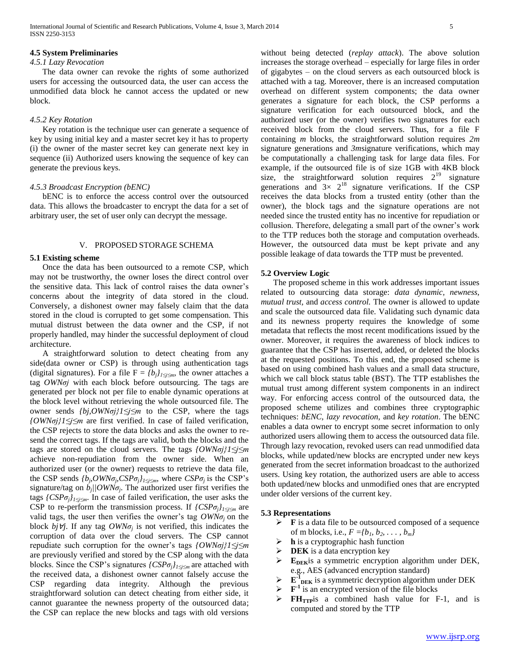#### **4.5 System Preliminaries**

#### *4.5.1 Lazy Revocation*

 The data owner can revoke the rights of some authorized users for accessing the outsourced data, the user can access the unmodified data block he cannot access the updated or new block.

#### *4.5.2 Key Rotation*

 Key rotation is the technique user can generate a sequence of key by using initial key and a master secret key it has to property (i) the owner of the master secret key can generate next key in sequence (ii) Authorized users knowing the sequence of key can generate the previous keys.

#### *4.5.3 Broadcast Encryption (bENC)*

 bENC is to enforce the access control over the outsourced data. This allows the broadcaster to encrypt the data for a set of arbitrary user, the set of user only can decrypt the message.

# V. PROPOSED STORAGE SCHEMA

#### **5.1 Existing scheme**

 Once the data has been outsourced to a remote CSP, which may not be trustworthy, the owner loses the direct control over the sensitive data. This lack of control raises the data owner's concerns about the integrity of data stored in the cloud. Conversely, a dishonest owner may falsely claim that the data stored in the cloud is corrupted to get some compensation. This mutual distrust between the data owner and the CSP, if not properly handled, may hinder the successful deployment of cloud architecture.

 A straightforward solution to detect cheating from any side(data owner or CSP) is through using authentication tags (digital signatures). For a file  $F = {b_j}$  $j_{1 \le j \le m}$ , the owner attaches a tag *OWNσj* with each block before outsourcing. The tags are generated per block not per file to enable dynamic operations at the block level without retrieving the whole outsourced file. The owner sends *{bj,OWNσj}1≤j≤m* to the CSP, where the tags *{OWNσj}1≤j≤m* are first verified. In case of failed verification, the CSP rejects to store the data blocks and asks the owner to resend the correct tags. If the tags are valid, both the blocks and the tags are stored on the cloud servers. The tags *{OWNσj}1≤j≤m*  achieve non-repudiation from the owner side. When an authorized user (or the owner) requests to retrieve the data file, the CSP sends  $\{b_j \text{OWN} \sigma_j \text{CSP} \sigma_j\}_{1 \leq j \leq m}$ , where  $CSP \sigma_j$  is the CSP's signature/tag on  $b_j$ //*OWN* $\sigma_j$ . The authorized user first verifies the tags *{CSPσj}1≤j≤m*. In case of failed verification, the user asks the CSP to re-perform the transmission process. If  $\{CSP\sigma_j\}_{1 \leq j \leq m}$  are valid tags, the user then verifies the owner's tag  $OWN\sigma_i$  on the block *bj*∀*j*. If any tag *OWNσ<sup>j</sup>* is not verified, this indicates the corruption of data over the cloud servers. The CSP cannot repudiate such corruption for the owner's tags *{OWNσj}1≤j≤m*  are previously verified and stored by the CSP along with the data blocks. Since the CSP's signatures  $\{CSP\sigma_j\}_{1\leq i\leq m}$  are attached with the received data, a dishonest owner cannot falsely accuse the CSP regarding data integrity. Although the previous straightforward solution can detect cheating from either side, it cannot guarantee the newness property of the outsourced data; the CSP can replace the new blocks and tags with old versions

without being detected (*replay attack*). The above solution increases the storage overhead – especially for large files in order of gigabytes – on the cloud servers as each outsourced block is attached with a tag. Moreover, there is an increased computation overhead on different system components; the data owner generates a signature for each block, the CSP performs a signature verification for each outsourced block, and the authorized user (or the owner) verifies two signatures for each received block from the cloud servers. Thus, for a file F containing *m* blocks, the straightforward solution requires *2m* signature generations and *3m*signature verifications, which may be computationally a challenging task for large data files. For example, if the outsourced file is of size 1GB with 4KB block size, the straightforward solution requires  $2^{19}$  signature generations and  $3 \times 2^{18}$  signature verifications. If the CSP receives the data blocks from a trusted entity (other than the owner), the block tags and the signature operations are not needed since the trusted entity has no incentive for repudiation or collusion. Therefore, delegating a small part of the owner's work to the TTP reduces both the storage and computation overheads. However, the outsourced data must be kept private and any possible leakage of data towards the TTP must be prevented.

#### **5.2 Overview Logic**

 The proposed scheme in this work addresses important issues related to outsourcing data storage: *data dynamic, newness, mutual trust,* and *access control.* The owner is allowed to update and scale the outsourced data file. Validating such dynamic data and its newness property requires the knowledge of some metadata that reflects the most recent modifications issued by the owner. Moreover, it requires the awareness of block indices to guarantee that the CSP has inserted, added, or deleted the blocks at the requested positions. To this end, the proposed scheme is based on using combined hash values and a small data structure, which we call block status table (BST). The TTP establishes the mutual trust among different system components in an indirect way. For enforcing access control of the outsourced data, the proposed scheme utilizes and combines three cryptographic techniques: *bENC, lazy revocation,* and *key rotation*. The bENC enables a data owner to encrypt some secret information to only authorized users allowing them to access the outsourced data file. Through lazy revocation, revoked users can read unmodified data blocks, while updated/new blocks are encrypted under new keys generated from the secret information broadcast to the authorized users. Using key rotation, the authorized users are able to access both updated/new blocks and unmodified ones that are encrypted under older versions of the current key.

#### **5.3 Representations**

- **F** is a data file to be outsourced composed of a sequence of m blocks, i.e.,  $F = \{b_1, b_2, ..., b_m\}$
- $\triangleright$  **h** is a cryptographic hash function
- $\triangleright$  **DEK** is a data encryption key
- **EDEK**is a symmetric encryption algorithm under DEK, e.g., AES (advanced encryption standard)
- $\triangleright$  **E**<sup>1</sup><sub>DEK</sub> is a symmetric decryption algorithm under DEK
- $\triangleright$   $\mathbf{F}^{-1}$  is an encrypted version of the file blocks
- **FHTTP**is a combined hash value for F-1, and is computed and stored by the TTP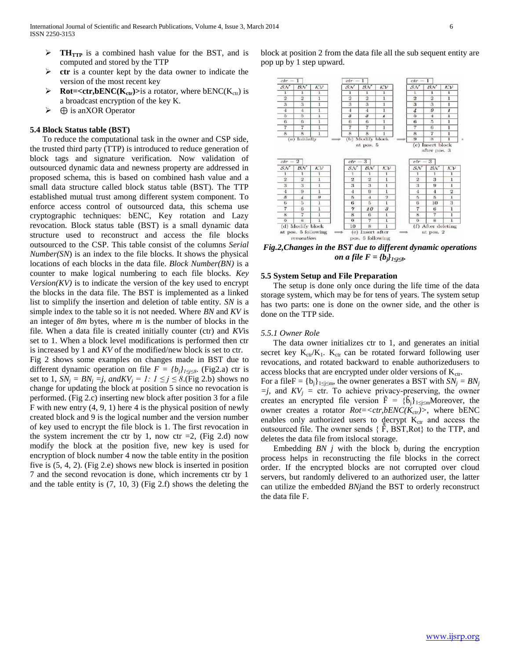- $\triangleright$  **TH**<sub>TTP</sub> is a combined hash value for the BST, and is computed and stored by the TTP
- **ctr** is a counter kept by the data owner to indicate the version of the most recent key
- $\triangleright$  **Rot=<ctr,bENC(K<sub>ctr</sub>)**>is a rotator, where bENC(K<sub>ctr</sub>) is a broadcast encryption of the key K.
- ⊕ is anXOR Operator

#### **5.4 Block Status table (BST)**

 To reduce the computational task in the owner and CSP side, the trusted third party (TTP) is introduced to reduce generation of block tags and signature verification. Now validation of outsourced dynamic data and newness property are addressed in proposed schema, this is based on combined hash value and a small data structure called block status table (BST). The TTP established mutual trust among different system component. To enforce access control of outsourced data, this schema use cryptographic techniques: bENC, Key rotation and Lazy revocation. Block status table (BST) is a small dynamic data structure used to reconstruct and access the file blocks outsourced to the CSP. This table consist of the columns *Serial Number(SN*) is an index to the file blocks. It shows the physical locations of each blocks in the data file. *Block Number(BN)* is a counter to make logical numbering to each file blocks. *Key*   $Version(KV)$  is to indicate the version of the key used to encrypt the blocks in the data file. The BST is implemented as a linked list to simplify the insertion and deletion of table entity. *SN* is a simple index to the table so it is not needed. Where *BN* and *KV* is an integer of *8m* bytes, where *m* is the number of blocks in the file. When a data file is created initially counter (ctr) and *KV*is set to 1. When a block level modifications is performed then ctr is increased by 1 and *KV* of the modified/new block is set to ctr.

Fig 2 shows some examples on changes made in BST due to different dynamic operation on file  $F = {b_j}_{1 \leq j \leq 8}$ . (Fig2.a) ctr is set to 1,  $SN_j = BN_j = j$ , and  $KV_j = 1$ :  $1 \leq j \leq 8$ . (Fig 2.b) shows no change for updating the block at position 5 since no revocation is performed. (Fig 2.c) inserting new block after position 3 for a file F with new entry (4, 9, 1) here 4 is the physical position of newly created block and 9 is the logical number and the version number of key used to encrypt the file block is 1. The first revocation in the system increment the ctr by 1, now ctr =2, (Fig 2.d) now modify the block at the position five, new key is used for encryption of block number 4 now the table entity in the position five is (5, 4, 2). (Fig 2.e) shows new block is inserted in position 7 and the second revocation is done, which increments ctr by 1 and the table entity is (7, 10, 3) (Fig 2.f) shows the deleting the

block at position 2 from the data file all the sub sequent entity are pop up by 1 step upward.



*Fig.2,Changes in the BST due to different dynamic operations on a file F = {bj}1≤j≤8.*

#### **5.5 System Setup and File Preparation**

 The setup is done only once during the life time of the data storage system, which may be for tens of years. The system setup has two parts: one is done on the owner side, and the other is done on the TTP side.

#### *5.5.1 Owner Role*

 The data owner initializes ctr to 1, and generates an initial secret key  $K_{ctr}/K_1$ .  $K_{ctr}$  can be rotated forward following user revocations, and rotated backward to enable authorizedusers to access blocks that are encrypted under older versions of  $K_{\text{ctr}}$ . For a file  $F = \{b_i\}_{1 \le i \le m}$ , the owner generates a BST with  $SN_i = BN_i$  $=j$ , and  $KV_j$  = ctr. To achieve privacy-preserving, the owner creates an encrypted file version  $\tilde{F} = {\tilde{\delta}_{i}}_{1\leq i \leq m}$ Moreover, the owner creates a rotator *Rot=<ctr,bENC(Kctr)>*, where bENC enables only authorized users to decrypt  $K_{\text{ctr}}$  and access the outsourced file. The owner sends  $\{\tilde{F}, BST, Rot\}$  to the TTP, and deletes the data file from itslocal storage.

Embedding  $BN$  *j* with the block  $b_i$  during the encryption process helps in reconstructing the file blocks in the correct order. If the encrypted blocks are not corrupted over cloud servers, but randomly delivered to an authorized user, the latter can utilize the embedded *BNj*and the BST to orderly reconstruct the data file F.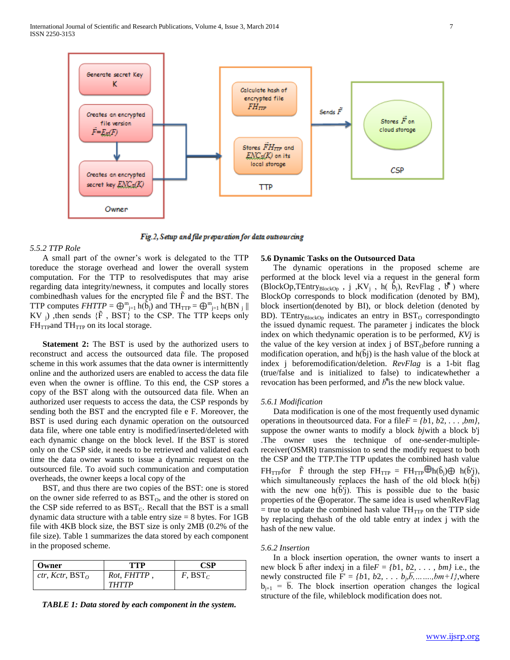International Journal of Scientific and Research Publications, Volume 4, Issue 3, March 2014 7 ISSN 2250-3153



Fig.2, Setup and file preparation for data outsourcing

#### *5.5.2 TTP Role*

 A small part of the owner's work is delegated to the TTP toreduce the storage overhead and lower the overall system computation. For the TTP to resolvedisputes that may arise regarding data integrity/newness, it computes and locally stores combinedhash values for the encrypted file  $\tilde{F}$  and the BST. The TTP computes  $FHTTP = \bigoplus_{j=1}^{m} h(\tilde{b}_j)$  and  $TH_{TTP} = \bigoplus_{j=1}^{m} h(BN_j)$ KV  $_i$ ), then sends  $\{ \tilde{F}$ , BST $\}$  to the CSP. The TTP keeps only  $FH_{TTP}$  on its local storage.

**Statement 2:** The BST is used by the authorized users to reconstruct and access the outsourced data file. The proposed scheme in this work assumes that the data owner is intermittently online and the authorized users are enabled to access the data file even when the owner is offline. To this end, the CSP stores a copy of the BST along with the outsourced data file. When an authorized user requests to access the data, the CSP responds by sending both the BST and the encrypted file e F. Moreover, the BST is used during each dynamic operation on the outsourced data file, where one table entry is modified/inserted/deleted with each dynamic change on the block level. If the BST is stored only on the CSP side, it needs to be retrieved and validated each time the data owner wants to issue a dynamic request on the outsourced file. To avoid such communication and computation overheads, the owner keeps a local copy of the

 BST, and thus there are two copies of the BST: one is stored on the owner side referred to as  $BST_0$ , and the other is stored on the CSP side referred to as  $BST_C$ . Recall that the BST is a small dynamic data structure with a table entry size = 8 bytes. For 1GB file with 4KB block size, the BST size is only 2MB (0.2% of the file size). Table 1 summarizes the data stored by each component in the proposed scheme.

| Owner              | TTP                        | CSP                    |  |  |
|--------------------|----------------------------|------------------------|--|--|
| ctr, Kctr, $BST_0$ | Rot, FHTTP<br><b>THTTP</b> | $F$ , BST <sub>C</sub> |  |  |

| TABLE 1: Data stored by each component in the system. |  |  |  |  |  |  |  |  |  |  |  |  |
|-------------------------------------------------------|--|--|--|--|--|--|--|--|--|--|--|--|
|-------------------------------------------------------|--|--|--|--|--|--|--|--|--|--|--|--|

#### **5.6 Dynamic Tasks on the Outsourced Data**

 The dynamic operations in the proposed scheme are performed at the block level via a request in the general form (BlockOp,TEntry<sub>BlockOp</sub>, j,KV<sub>j</sub>, h( $\hat{b}_j$ ), RevFlag,  $b^*$ ) where BlockOp corresponds to block modification (denoted by BM), block insertion(denoted by BI), or block deletion (denoted by BD). TEntry $_{\text{BlockOp}}$  indicates an entry in BST<sub>O</sub> correspondingto the issued dynamic request. The parameter j indicates the block index on which thedynamic operation is to be performed, *KVj* is the value of the key version at index  $j$  of  $BST<sub>O</sub>$  before running a modification operation, and  $h(b<sub>i</sub>)$  is the hash value of the block at index j beforemodification/deletion. *RevFlag* is a 1-bit flag (true/false and is initialized to false) to indicatewhether a revocation has been performed, and *b*<sup>\*</sup> is the new block value.

#### *5.6.1 Modification*

 Data modification is one of the most frequently used dynamic operations in theoutsourced data. For a file*F* = *{b*1*, b*2*, . . . ,bm}*, suppose the owner wants to modify a block *bj*with a block b'j .The owner uses the technique of one-sender-multiplereceiver(OSMR) transmission to send the modify request to both the CSP and the TTP.The TTP updates the combined hash value FH<sub>TTP</sub>for F through the step FH<sub>TTP</sub> = FH<sub>TTP</sub> $\bigoplus h(\tilde{b}_j) \bigoplus h(\tilde{b}_j)$ , which simultaneously replaces the hash of the old block  $h(b)$ with the new one  $h(b')$ . This is possible due to the basic properties of the ⊕operator. The same idea is used whenRevFlag  $=$  true to update the combined hash value TH<sub>TTP</sub> on the TTP side by replacing thehash of the old table entry at index j with the hash of the new value.

# *5.6.2 Insertion*

 In a block insertion operation, the owner wants to insert a new block  $\overline{b}$  after indexj in a file  $F = \{b1, b2, \ldots, bm\}$  i.e., the newly constructed file  $F' = \{b_1, b_2, \ldots, b_j, \overline{b}, \ldots, b_m + 1\}$ , where  $b_{i+1} = \overline{b}$ . The block insertion operation changes the logical structure of the file, whileblock modification does not.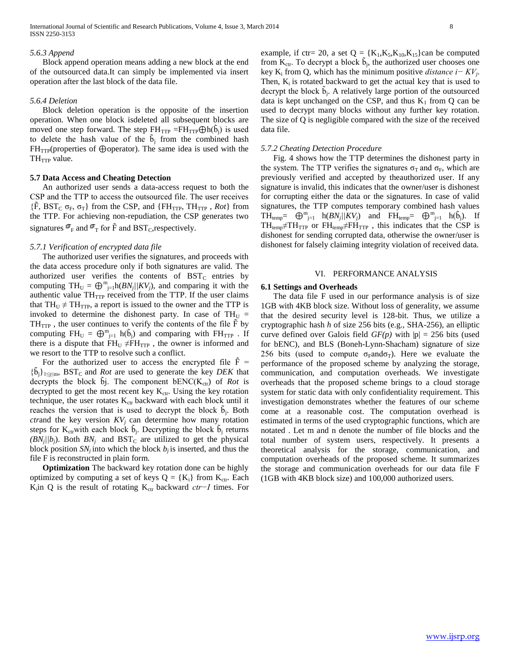#### *5.6.3 Append*

 Block append operation means adding a new block at the end of the outsourced data.It can simply be implemented via insert operation after the last block of the data file.

#### *5.6.4 Deletion*

 Block deletion operation is the opposite of the insertion operation. When one block isdeleted all subsequent blocks are moved one step forward. The step  $FH_{TTP} = FH_{TTP} \bigoplus h(\tilde{b}_j)$  is used to delete the hash value of the  $\tilde{b}_j$  from the combined hash  $FH_{TTP}(properties of \Theta)$  The same idea is used with the  $TH_{TTP}$  value.

#### **5.7 Data Access and Cheating Detection**

 An authorized user sends a data-access request to both the CSP and the TTP to access the outsourced file. The user receives  $\{\tilde{F}, \text{BST}_C \sigma_F, \sigma_T\}$  from the CSP, and  $\{FH_{TTP}, TH_{TTP}, Rot\}$  from the TTP. For achieving non-repudiation, the CSP generates two signatures  $\sigma_F$  and  $\sigma_T$  for F and BST<sub>C</sub>, respectively.

#### *5.7.1 Verification of encrypted data file*

 The authorized user verifies the signatures, and proceeds with the data access procedure only if both signatures are valid. The authorized user verifies the contents of  $BST_C$  entries by computing TH<sub>U</sub> =  $\bigoplus_{j=1}^{m} h(BN_j|/KV_j)$ , and comparing it with the authentic value  $TH_{TTP}$  received from the TTP. If the user claims that TH<sub>U</sub>  $\neq$  TH<sub>TTP</sub>, a report is issued to the owner and the TTP is invoked to determine the dishonest party. In case of  $TH_U =$  $TH_{TTP}$ , the user continues to verify the contents of the file  $\ddot{F}$  by computing  $FH_U = \bigoplus_{j=1}^m h(\tilde{b}_j)$  and comparing with  $FH_{TTP}$ . If there is a dispute that  $FH_U \neq FH_{TTP}$ , the owner is informed and we resort to the TTP to resolve such a conflict.

For the authorized user to access the encrypted file  $\ddot{F}$  =  $\{\tilde{b}_j\}_{1 \leq j \leq m}$ , BST<sub>C</sub> and *Rot* are used to generate the key *DEK* that decrypts the block bj. The component  $bENC(K_{ctr})$  of *Rot* is decrypted to get the most recent key  $K_{ctr}$ . Using the key rotation technique, the user rotates  $K_{\text{ctr}}$  backward with each block until it reaches the version that is used to decrypt the block  $\tilde{b}_j$ . Both *ctrand* the key version  $KV_i$  can determine how many rotation steps for  $K_{\text{ctr}}$  with each block  $\tilde{b}_j$ . Decrypting the block  $\tilde{b}_j$  returns  $(BN_j/|b_j)$ . Both  $BN_j$  and  $BST_c$  are utilized to get the physical block position  $SN<sub>j</sub>$  into which the block  $b<sub>j</sub>$  is inserted, and thus the file F is reconstructed in plain form.

 **Optimization** The backward key rotation done can be highly optimized by computing a set of keys  $Q = \{K_i\}$  from  $K_{\text{ctr}}$ . Each K<sub>i</sub>in Q is the result of rotating K<sub>ctr</sub> backward *ctr*−*I* times. For example, if ctr= 20, a set  $Q = \{K_1, K_5, K_{10}, K_{15}\}$ can be computed from  $K_{\text{ctr}}$ . To decrypt a block  $\tilde{b}_j$ , the authorized user chooses one key K<sub>i</sub> from Q, which has the minimum positive *distance i− KV*<sup>*j*</sup>. Then,  $K_i$  is rotated backward to get the actual key that is used to decrypt the block  $\tilde{b}_j$ . A relatively large portion of the outsourced data is kept unchanged on the CSP, and thus  $K_1$  from Q can be used to decrypt many blocks without any further key rotation. The size of Q is negligible compared with the size of the received data file.

#### *5.7.2 Cheating Detection Procedure*

 Fig. 4 shows how the TTP determines the dishonest party in the system. The TTP verifies the signatures  $\sigma_T$  and  $\sigma_F$ , which are previously verified and accepted by theauthorized user. If any signature is invalid, this indicates that the owner/user is dishonest for corrupting either the data or the signatures. In case of valid signatures, the TTP computes temporary combined hash values  $TH_{temp} = \bigoplus_{j=1}^{m} h(BN_j)/KV_j$  and  $FH_{temp} = \bigoplus_{j=1}^{m} h(\tilde{b}_j)$ . If  $TH_{temp} \neq TH_{TTP}$  or  $FH_{temp} \neq FH_{TTP}$ , this indicates that the CSP is dishonest for sending corrupted data, otherwise the owner/user is dishonest for falsely claiming integrity violation of received data.

#### VI. PERFORMANCE ANALYSIS

#### **6.1 Settings and Overheads**

 The data file F used in our performance analysis is of size 1GB with 4KB block size. Without loss of generality, we assume that the desired security level is 128-bit. Thus, we utilize a cryptographic hash *h* of size 256 bits (e.g., SHA-256), an elliptic curve defined over Galois field  $GF(p)$  with  $|p| = 256$  bits (used for bENC), and BLS (Boneh-Lynn-Shacham) signature of size 256 bits (used to compute  $\sigma$ <sub>F</sub>and $\sigma$ <sub>T</sub>). Here we evaluate the performance of the proposed scheme by analyzing the storage, communication, and computation overheads. We investigate overheads that the proposed scheme brings to a cloud storage system for static data with only confidentiality requirement. This investigation demonstrates whether the features of our scheme come at a reasonable cost. The computation overhead is estimated in terms of the used cryptographic functions, which are notated . Let m and n denote the number of file blocks and the total number of system users, respectively. It presents a theoretical analysis for the storage, communication, and computation overheads of the proposed scheme. It summarizes the storage and communication overheads for our data file F (1GB with 4KB block size) and 100,000 authorized users.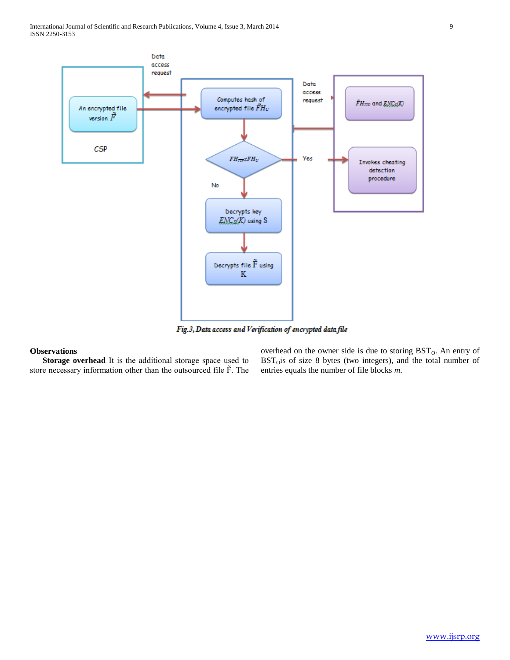

Fig.3, Data access and Verification of encrypted data file

# **Observations**

 **Storage overhead** It is the additional storage space used to store necessary information other than the outsourced file  $\tilde{F}$ . The overhead on the owner side is due to storing  $BST_0$ . An entry of  $BST<sub>O</sub>$ is of size 8 bytes (two integers), and the total number of entries equals the number of file blocks *m*.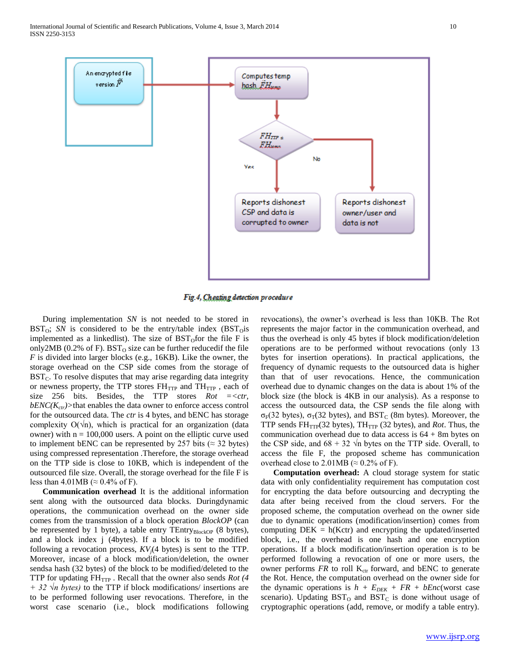International Journal of Scientific and Research Publications, Volume 4, Issue 3, March 2014 10 ISSN 2250-3153



Fig.4, Cheating detection procedure

 During implementation *SN* is not needed to be stored in  $BST<sub>O</sub>$ ; *SN* is considered to be the entry/table index  $(BST<sub>O</sub>$ is implemented as a linkedlist). The size of  $BST<sub>0</sub>$  for the file F is only2MB (0.2% of F).  $BST_0$  size can be further reducedif the file *F* is divided into larger blocks (e.g., 16KB). Like the owner, the storage overhead on the CSP side comes from the storage of  $BST<sub>C</sub>$ . To resolve disputes that may arise regarding data integrity or newness property, the TTP stores  $\rm{FH}_{TTP}$  and  $\rm{TH}_{TTP}$  , each of size 256 bits. Besides, the TTP stores  $Rot = ,$  $bENC(K_{ctr})$ >that enables the data owner to enforce access control for the outsourced data. The *ctr* is 4 bytes, and bENC has storage complexity  $O(\sqrt{n})$ , which is practical for an organization (data owner) with  $n = 100,000$  users. A point on the elliptic curve used to implement bENC can be represented by 257 bits ( $\approx$  32 bytes) using compressed representation .Therefore, the storage overhead on the TTP side is close to 10KB, which is independent of the outsourced file size. Overall, the storage overhead for the file F is less than 4.01MB ( $\approx$  0.4% of F).

 **Communication overhead** It is the additional information sent along with the outsourced data blocks. Duringdynamic operations, the communication overhead on the owner side comes from the transmission of a block operation *BlockOP* (can be represented by 1 byte), a table entry  $TEntry_{BlockOP}$  (8 bytes), and a block index j (4bytes). If a block is to be modified following a revocation process, *KVj*(4 bytes) is sent to the TTP. Moreover, incase of a block modification/deletion, the owner sendsa hash (32 bytes) of the block to be modified/deleted to the TTP for updating  $FH_{TTP}$ . Recall that the owner also sends *Rot* (4) *+ 32 √n bytes)* to the TTP if block modifications/ insertions are to be performed following user revocations. Therefore, in the worst case scenario (i.e., block modifications following revocations), the owner's overhead is less than 10KB. The Rot represents the major factor in the communication overhead, and thus the overhead is only 45 bytes if block modification/deletion operations are to be performed without revocations (only 13 bytes for insertion operations). In practical applications, the frequency of dynamic requests to the outsourced data is higher than that of user revocations. Hence, the communication overhead due to dynamic changes on the data is about 1% of the block size (the block is 4KB in our analysis). As a response to access the outsourced data, the CSP sends the file along with σ<sub>F</sub>(32 bytes), σ<sub>T</sub>(32 bytes), and BST<sub>C</sub> (8m bytes). Moreover, the TTP sends  $FH_{TTP}(32 \text{ bytes})$ ,  $TH_{TTP}(32 \text{ bytes})$ , and *Rot*. Thus, the communication overhead due to data access is  $64 + 8m$  bytes on the CSP side, and  $68 + 32 \sqrt{n}$  bytes on the TTP side. Overall, to access the file F, the proposed scheme has communication overhead close to 2.01MB ( $\approx$  0.2% of F).

 **Computation overhead:** A cloud storage system for static data with only confidentiality requirement has computation cost for encrypting the data before outsourcing and decrypting the data after being received from the cloud servers. For the proposed scheme, the computation overhead on the owner side due to dynamic operations (modification/insertion) comes from computing  $DEK = h(Kctr)$  and encrypting the updated/inserted block, i.e., the overhead is one hash and one encryption operations. If a block modification/insertion operation is to be performed following a revocation of one or more users, the owner performs  $FR$  to roll  $K<sub>ctr</sub>$  forward, and bENC to generate the Rot. Hence, the computation overhead on the owner side for the dynamic operations is  $h + E_{DEK} + FR + bEnc(worst case)$ scenario). Updating  $BST_0$  and  $BST_C$  is done without usage of cryptographic operations (add, remove, or modify a table entry).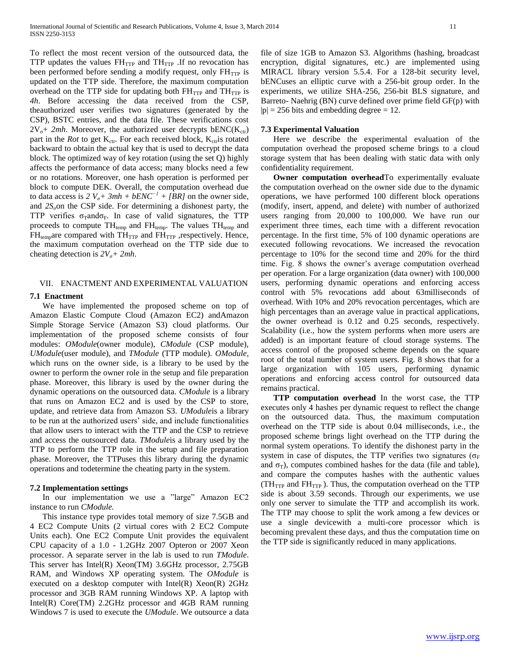To reflect the most recent version of the outsourced data, the TTP updates the values  $FH_{TTP}$  and  $TH_{TTP}$ . If no revocation has been performed before sending a modify request, only  $FH_{TTP}$  is updated on the TTP side. Therefore, the maximum computation overhead on the TTP side for updating both  $FH_{TTP}$  and  $TH_{TTP}$  is *4h*. Before accessing the data received from the CSP, theauthorized user verifies two signatures (generated by the CSP), BSTC entries, and the data file. These verifications cost  $2V_{\sigma}$ + 2*mh*. Moreover, the authorized user decrypts bENC(K<sub>ctr</sub>) part in the *Rot* to get  $K_{\text{ctr}}$ . For each received block,  $K_{\text{ctr}}$  is rotated backward to obtain the actual key that is used to decrypt the data block. The optimized way of key rotation (using the set Q) highly affects the performance of data access; many blocks need a few or no rotations. Moreover, one hash operation is performed per block to compute DEK. Overall, the computation overhead due to data access is 2  $V_q$ + 3mh + bENC<sup> $-I$ </sup> + [BR] on the owner side, and  $2S<sub>σ</sub>$ on the CSP side. For determining a dishonest party, the TTP verifies  $\sigma_{T}$ and $\sigma_{F}$ . In case of valid signatures, the TTP proceeds to compute  $TH_{temp}$  and  $FH_{temp}$ . The values  $TH_{temp}$  and  $FH_{temp}$ are compared with TH<sub>TTP</sub> and  $FH_{TTP}$ , respectively. Hence, the maximum computation overhead on the TTP side due to cheating detection is  $2V_{\sigma}$ + 2*mh*.

# VII. ENACTMENT AND EXPERIMENTAL VALUATION

# **7.1 Enactment**

 We have implemented the proposed scheme on top of Amazon Elastic Compute Cloud (Amazon EC2) andAmazon Simple Storage Service (Amazon S3) cloud platforms. Our implementation of the proposed scheme consists of four modules: *OModule*(owner module), *CModule* (CSP module), *UModule*(user module), and *TModule* (TTP module). *OModule*, which runs on the owner side, is a library to be used by the owner to perform the owner role in the setup and file preparation phase. Moreover, this library is used by the owner during the dynamic operations on the outsourced data. *CModule* is a library that runs on Amazon EC2 and is used by the CSP to store, update, and retrieve data from Amazon S3. *UModule*is a library to be run at the authorized users' side, and include functionalities that allow users to interact with the TTP and the CSP to retrieve and access the outsourced data. *TModule*is a library used by the TTP to perform the TTP role in the setup and file preparation phase. Moreover, the TTPuses this library during the dynamic operations and todetermine the cheating party in the system.

#### **7.2 Implementation settings**

 In our implementation we use a "large" Amazon EC2 instance to run *CModule.*

 This instance type provides total memory of size 7.5GB and 4 EC2 Compute Units (2 virtual cores with 2 EC2 Compute Units each). One EC2 Compute Unit provides the equivalent CPU capacity of a 1.0 - 1.2GHz 2007 Opteron or 2007 Xeon processor. A separate server in the lab is used to run *TModule*. This server has Intel(R) Xeon(TM) 3.6GHz processor, 2.75GB RAM, and Windows XP operating system. The *OModule* is executed on a desktop computer with Intel(R) Xeon(R) 2GHz processor and 3GB RAM running Windows XP. A laptop with Intel(R) Core(TM) 2.2GHz processor and 4GB RAM running Windows 7 is used to execute the *UModule*. We outsource a data file of size 1GB to Amazon S3. Algorithms (hashing, broadcast encryption, digital signatures, etc.) are implemented using MIRACL library version 5.5.4. For a 128-bit security level, bENCuses an elliptic curve with a 256-bit group order. In the experiments, we utilize SHA-256, 256-bit BLS signature, and Barreto- Naehrig (BN) curve defined over prime field GF(p) with  $|p| = 256$  bits and embedding degree = 12.

#### **7.3 Experimental Valuation**

 Here we describe the experimental evaluation of the computation overhead the proposed scheme brings to a cloud storage system that has been dealing with static data with only confidentiality requirement.

 **Owner computation overhead**To experimentally evaluate the computation overhead on the owner side due to the dynamic operations, we have performed 100 different block operations (modify, insert, append, and delete) with number of authorized users ranging from 20,000 to 100,000. We have run our experiment three times, each time with a different revocation percentage. In the first time, 5% of 100 dynamic operations are executed following revocations. We increased the revocation percentage to 10% for the second time and 20% for the third time. Fig. 8 shows the owner's average computation overhead per operation. For a large organization (data owner) with 100,000 users, performing dynamic operations and enforcing access control with 5% revocations add about 63milliseconds of overhead. With 10% and 20% revocation percentages, which are high percentages than an average value in practical applications, the owner overhead is 0.12 and 0.25 seconds, respectively. Scalability (i.e., how the system performs when more users are added) is an important feature of cloud storage systems. The access control of the proposed scheme depends on the square root of the total number of system users. Fig. 8 shows that for a large organization with 105 users, performing dynamic operations and enforcing access control for outsourced data remains practical.

 **TTP computation overhead** In the worst case, the TTP executes only 4 hashes per dynamic request to reflect the change on the outsourced data. Thus, the maximum computation overhead on the TTP side is about 0.04 milliseconds, i.e., the proposed scheme brings light overhead on the TTP during the normal system operations. To identify the dishonest party in the system in case of disputes, the TTP verifies two signatures ( $\sigma_F$ ) and  $\sigma_T$ ), computes combined hashes for the data (file and table), and compare the computes hashes with the authentic values  $(TH_{TTP}$  and  $FH_{TTP}$ ). Thus, the computation overhead on the TTP side is about 3.59 seconds. Through our experiments, we use only one server to simulate the TTP and accomplish its work. The TTP may choose to split the work among a few devices or use a single devicewith a multi-core processor which is becoming prevalent these days, and thus the computation time on the TTP side is significantly reduced in many applications.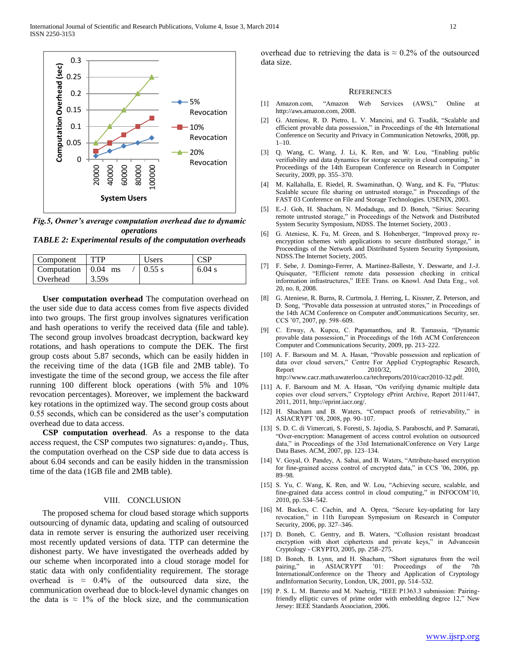

*Fig.5, Owner's average computation overhead due to dynamic operations*

*TABLE 2: Experimental results of the computation overheads*

| Component                         | <b>TTP</b> | Users    | $\mathbb{C}\mathrm{SP}$ |
|-----------------------------------|------------|----------|-------------------------|
| $\sim$ Computation $\sim 0.04$ ms |            | $0.55$ s | 6.04 s                  |
| Overhead                          | 3.59s      |          |                         |

Continues and the observation of the absorption and signific forest scale of the signific forest in the absorption of the signific forest scale of the signific forest scale of the signific forest scale of the signific f  **User computation overhead** The computation overhead on the user side due to data access comes from five aspects divided into two groups. The first group involves signatures verification and hash operations to verify the received data (file and table). The second group involves broadcast decryption, backward key rotations, and hash operations to compute the DEK. The first group costs about 5.87 seconds, which can be easily hidden in the receiving time of the data (1GB file and 2MB table). To investigate the time of the second group, we access the file after running 100 different block operations (with 5% and 10% revocation percentages). Moreover, we implement the backward key rotations in the optimized way. The second group costs about 0.55 seconds, which can be considered as the user's computation overhead due to data access.

 **CSP computation overhead**. As a response to the data access request, the CSP computes two signatures:  $\sigma$ <sub>F</sub>and $\sigma$ <sub>T</sub>. Thus, the computation overhead on the CSP side due to data access is about 6.04 seconds and can be easily hidden in the transmission time of the data (1GB file and 2MB table).

## VIII. CONCLUSION

The proposed schema for cloud based storage which supports outsourcing of dynamic data, updating and scaling of outsourced data in remote server is ensuring the authorized user receiving most recently updated versions of data. TTP can determine the dishonest party. We have investigated the overheads added by our scheme when incorporated into a cloud storage model for static data with only confidentiality requirement. The storage overhead is  $\approx$  0.4% of the outsourced data size, the communication overhead due to block-level dynamic changes on the data is  $\approx$  1% of the block size, and the communication

overhead due to retrieving the data is  $\approx 0.2\%$  of the outsourced data size.

#### **REFERENCES**

- [1] Amazon.com, "Amazon Web Services (AWS)," Online at http://aws.amazon.com, 2008.
- [2] G. Ateniese, R. D. Pietro, L. V. Mancini, and G. Tsudik, "Scalable and efficient provable data possession," in Proceedings of the 4th International Conference on Security and Privacy in Communication Netowrks, 2008, pp.  $1-10$ .
- [3] Q. Wang, C. Wang, J. Li, K. Ren, and W. Lou, "Enabling public verifiability and data dynamics for storage security in cloud computing," in Proceedings of the 14th European Conference on Research in Computer Security, 2009, pp. 355–370.
- [4] M. Kallahalla, E. Riedel, R. Swaminathan, Q. Wang, and K. Fu, "Plutus: Scalable secure file sharing on untrusted storage," in Proceedings of the FAST 03 Conference on File and Storage Technologies. USENIX, 2003.
- [5] E.-J. Goh, H. Shacham, N. Modadugu, and D. Boneh, "Sirius: Securing remote untrusted storage," in Proceedings of the Network and Distributed System Security Symposium, NDSS. The Internet Society, 2003 .
- [6] G. Ateniese, K. Fu, M. Green, and S. Hohenberger, "Improved proxy reencryption schemes with applications to secure distributed storage," in Proceedings of the Network and Distributed System Security Symposium, NDSS.The Internet Society, 2005.
- [7] F. Sebe, J. Domingo-Ferrer, A. Martinez-Balleste, Y. Deswarte, and J.-J. Quisquater, "Efficient remote data possession checking in critical information infrastructures," IEEE Trans. on Knowl. And Data Eng., vol. 20, no. 8, 2008.
- [8] G. Ateniese, R. Burns, R. Curtmola, J. Herring, L. Kissner, Z. Peterson, and D. Song, "Provable data possession at untrusted stores," in Proceedings of the 14th ACM Conference on Computer andCommunications Security, ser. CCS '07, 2007, pp. 598–609.
- [9] C. Erway, A. Kupcu, C. Papamanthou, and R. Tamassia, "Dynamic provable data possession," in Proceedings of the 16th ACM Conferenceon Computer and Communications Security, 2009, pp. 213–222.
- [10] A. F. Barsoum and M. A. Hasan, "Provable possession and replication of data over cloud servers," Centre For Applied Cryptographic Research,<br>Report 2010/32, 2010, 2010/32, http://www.cacr.math.uwaterloo.ca/techreports/2010/cacr2010-32.pdf.
- [11] A. F. Barsoum and M. A. Hasan, "On verifying dynamic multiple data copies over cloud servers," Cryptology ePrint Archive, Report 2011/447, 2011, 2011, http://eprint.iacr.org/.
- [12] H. Shacham and B. Waters, "Compact proofs of retrievability," in ASIACRYPT '08, 2008, pp. 90–107.
- [13] S. D. C. di Vimercati, S. Foresti, S. Jajodia, S. Paraboschi, and P. Samarati, "Over-encryption: Management of access control evolution on outsourced data," in Proceedings of the 33rd InternationalConference on Very Large Data Bases. ACM, 2007, pp. 123–134.
- [14] V. Goyal, O. Pandey, A. Sahai, and B. Waters, "Attribute-based encryption for fine-grained access control of encrypted data," in CCS '06, 2006, pp. 89–98.
- [15] S. Yu, C. Wang, K. Ren, and W. Lou, "Achieving secure, scalable, and fine-grained data access control in cloud computing," in INFOCOM'10, 2010, pp. 534–542.
- [16] M. Backes, C. Cachin, and A. Oprea, "Secure key-updating for lazy revocation," in 11th European Symposium on Research in Computer Security, 2006, pp. 327–346.
- [17] D. Boneh, C. Gentry, and B. Waters, "Collusion resistant broadcast encryption with short ciphertexts and private keys," in Advancesin Cryptology - CRYPTO, 2005, pp. 258–275.
- [18] D. Boneh, B. Lynn, and H. Shacham, "Short signatures from the weil pairing," in ASIACRYPT '01: Proceedings of the 7th InternationalConference on the Theory and Application of Cryptology andInformation Security, London, UK, 2001, pp. 514–532.
- [19] P. S. L. M. Barreto and M. Naehrig, "IEEE P1363.3 submission: Pairingfriendly elliptic curves of prime order with embedding degree 12," New Jersey: IEEE Standards Association, 2006.